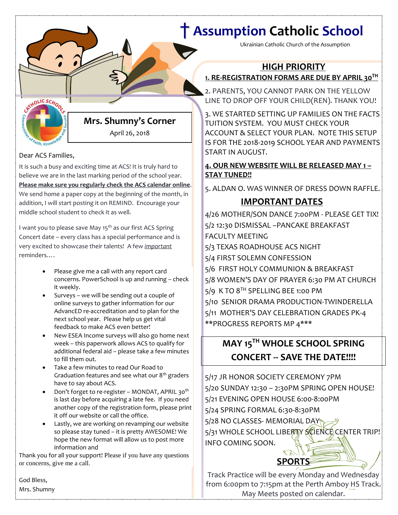# † **Assumption Catholic School**

Ukrainian Catholic Church of the Assumption

## **HIGH PRIORITY**

## **1. RE-REGISTRATION FORMS ARE DUE BY APRIL 30 TH**

**[Date]** LINE TO DROP OFF YOUR CHILD(REN). THANK YOU! 2. PARENTS, YOU CANNOT PARK ON THE YELLOW

3. WE STARTED SETTING UP FAMILIES ON THE FACTS TUITION SYSTEM. YOU MUST CHECK YOUR ACCOUNT & SELECT YOUR PLAN. NOTE THIS SETUP IS FOR THE 2018-2019 SCHOOL YEAR AND PAYMENTS START IN AUGUST.

### **4. OUR NEW WEBSITE WILL BE RELEASED MAY 1 – STAY TUNED!!**

5. ALDAN O. WAS WINNER OF DRESS DOWN RAFFLE.

## **IMPORTANT DATES**

4/26 MOTHER/SON DANCE 7:00PM - PLEASE GET TIX! 5/2 12:30 DISMISSAL –PANCAKE BREAKFAST FACULTY MEETING 5/3 TEXAS ROADHOUSE ACS NIGHT 5/4 FIRST SOLEMN CONFESSION 5/6 FIRST HOLY COMMUNION & BREAKFAST 5/8 WOMEN'S DAY OF PRAYER 6:30 PM AT CHURCH 5/9 K TO 8TH SPELLING BEE 1:00 PM 5/10 SENIOR DRAMA PRODUCTION-TWINDERELLA 5/11 MOTHER'S DAY CELEBRATION GRADES PK-4 \*\*PROGRESS REPORTS MP 4\*\*\*

# **MAY 15TH WHOLE SCHOOL SPRING CONCERT -- SAVE THE DATE!!!!**

5/17 JR HONOR SOCIETY CEREMONY 7PM 5/20 SUNDAY 12:30 – 2:30PM SPRING OPEN HOUSE! 5/21 EVENING OPEN HOUSE 6:00-8:00PM 5/24 SPRING FORMAL 6:30-8:30PM 5/28 NO CLASSES- MEMORIAL DAY 5/31 WHOLE SCHOOL LIBERTY SCIENCE CENTER TRIP! INFO COMING SOON.

# **SPORTS**

Track Practice will be every Monday and Wednesday from 6:00pm to 7:15pm at the Perth Amboy HS Track. May Meets posted on calendar.

**Mrs. Shumny's Corner** April 26, 2018

### Dear ACS Families,

Faith, Knov

CRTHOLIC SCHOOL

It is such a busy and exciting time at ACS! It is truly hard to believe we are in the last marking period of the school year. **Please make sure you regularly check the ACS calendar online**. We send home a paper copy at the beginning of the month, in addition, I will start posting it on REMIND. Encourage your middle school student to check it as well.

I want you to please save May 15<sup>th</sup> as our first ACS Spring Concert date – every class has a special performance and is very excited to showcase their talents! A few *important* reminders….

- Please give me a call with any report card concerns. PowerSchool is up and running – check it weekly.
- Surveys we will be sending out a couple of online surveys to gather information for our AdvancED re-accreditation and to plan for the next school year. Please help us get vital feedback to make ACS even better!
- New ESEA Income surveys will also go home next week – this paperwork allows ACS to qualify for additional federal aid – please take a few minutes to fill them out.
- Take a few minutes to read Our Road to Graduation features and see what our  $8<sup>th</sup>$  graders have to say about ACS.
- Don't forget to re-register MONDAT, APRIL 30<sup>th</sup> is last day before acquiring a late fee. If you need another copy of the registration form, please print it off our website or call the office.
- Lastly, we are working on revamping our website so please stay tuned – it is pretty AWESOME! We hope the new format will allow us to post more information and

Thank you for all your support! Please if you have any questions or concerns, give me a call.

God Bless, Mrs. Shumny